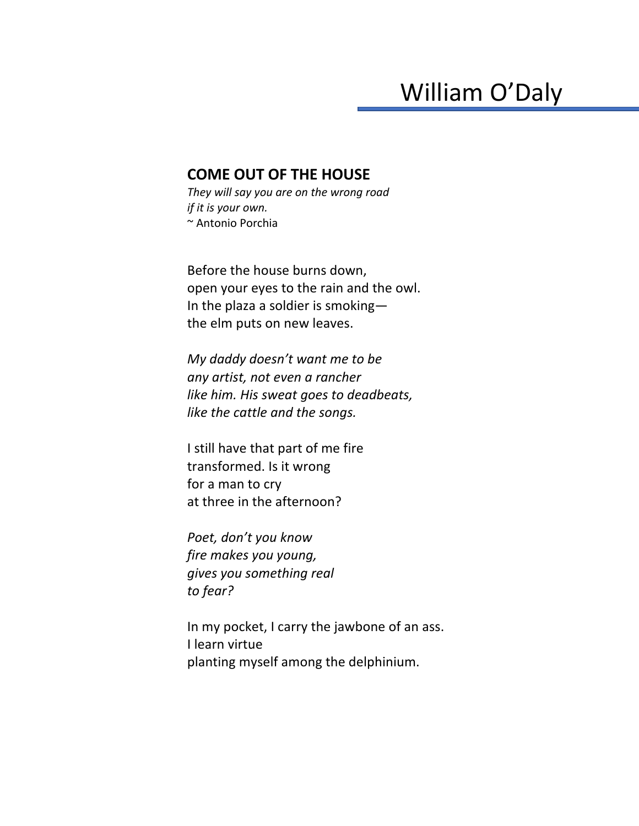## William O'Daly

## **COME OUT OF THE HOUSE**

*They will say you are on the wrong road if it is your own.* ~ Antonio Porchia

Before the house burns down, open your eyes to the rain and the owl. In the plaza a soldier is smoking the elm puts on new leaves.

*My daddy doesn't want me to be any artist, not even a rancher like him. His sweat goes to deadbeats, like the cattle and the songs.*

I still have that part of me fire transformed. Is it wrong for a man to cry at three in the afternoon?

*Poet, don't you know fire makes you young, gives you something real to fear?* 

In my pocket, I carry the jawbone of an ass. I learn virtue planting myself among the delphinium.